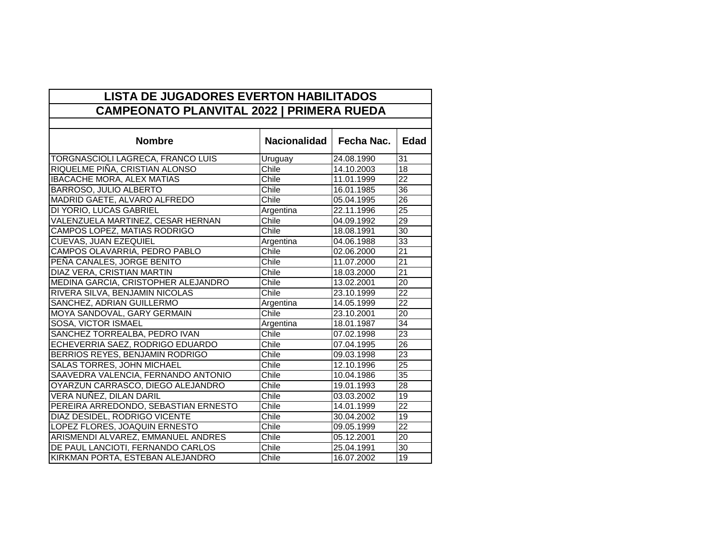| <b>LISTA DE JUGADORES EVERTON HABILITADOS</b><br><b>CAMPEONATO PLANVITAL 2022   PRIMERA RUEDA</b> |              |            |                 |  |
|---------------------------------------------------------------------------------------------------|--------------|------------|-----------------|--|
|                                                                                                   |              |            |                 |  |
| <b>Nombre</b>                                                                                     | Nacionalidad | Fecha Nac. | <b>Edad</b>     |  |
| TORGNASCIOLI LAGRECA, FRANCO LUIS                                                                 | Uruguay      | 24.08.1990 | 31              |  |
| RIQUELME PIÑA, CRISTIAN ALONSO                                                                    | Chile        | 14.10.2003 | 18              |  |
| <b>IBACACHE MORA, ALEX MATIAS</b>                                                                 | Chile        | 11.01.1999 | 22              |  |
| BARROSO, JULIO ALBERTO                                                                            | Chile        | 16.01.1985 | $\overline{36}$ |  |
| MADRID GAETE, ALVARO ALFREDO                                                                      | Chile        | 05.04.1995 | 26              |  |
| DI YORIO, LUCAS GABRIEL                                                                           | Argentina    | 22.11.1996 | $\overline{25}$ |  |
| VALENZUELA MARTINEZ, CESAR HERNAN                                                                 | Chile        | 04.09.1992 | 29              |  |
| CAMPOS LOPEZ, MATIAS RODRIGO                                                                      | Chile        | 18.08.1991 | $\overline{30}$ |  |
| CUEVAS, JUAN EZEQUIEL                                                                             | Argentina    | 04.06.1988 | 33              |  |
| CAMPOS OLAVARRIA, PEDRO PABLO                                                                     | Chile        | 02.06.2000 | $\overline{21}$ |  |
| PEÑA CANALES, JORGE BENITO                                                                        | Chile        | 11.07.2000 | $\overline{21}$ |  |
| DIAZ VERA, CRISTIAN MARTIN                                                                        | Chile        | 18.03.2000 | $\overline{21}$ |  |
| MEDINA GARCIA, CRISTOPHER ALEJANDRO                                                               | Chile        | 13.02.2001 | 20              |  |
| RIVERA SILVA, BENJAMIN NICOLAS                                                                    | Chile        | 23.10.1999 | $\overline{22}$ |  |
| SANCHEZ, ADRIAN GUILLERMO                                                                         | Argentina    | 14.05.1999 | $\overline{22}$ |  |
| MOYA SANDOVAL, GARY GERMAIN                                                                       | Chile        | 23.10.2001 | $\overline{20}$ |  |
| SOSA, VICTOR ISMAEL                                                                               | Argentina    | 18.01.1987 | 34              |  |
| SANCHEZ TORREALBA, PEDRO IVAN                                                                     | Chile        | 07.02.1998 | 23              |  |
| ECHEVERRIA SAEZ, RODRIGO EDUARDO                                                                  | Chile        | 07.04.1995 | $\overline{26}$ |  |
| BERRIOS REYES, BENJAMIN RODRIGO                                                                   | Chile        | 09.03.1998 | $\overline{23}$ |  |
| SALAS TORRES, JOHN MICHAEL                                                                        | Chile        | 12.10.1996 | $\overline{25}$ |  |
| SAAVEDRA VALENCIA, FERNANDO ANTONIO                                                               | Chile        | 10.04.1986 | 35              |  |
| OYARZUN CARRASCO, DIEGO ALEJANDRO                                                                 | Chile        | 19.01.1993 | $\overline{28}$ |  |
| VERA NUÑEZ, DILAN DARIL                                                                           | Chile        | 03.03.2002 | 19              |  |
| PEREIRA ARREDONDO, SEBASTIAN ERNESTO                                                              | Chile        | 14.01.1999 | 22              |  |
| DIAZ DESIDEL, RODRIGO VICENTE                                                                     | Chile        | 30.04.2002 | $\overline{19}$ |  |
| LOPEZ FLORES, JOAQUIN ERNESTO                                                                     | Chile        | 09.05.1999 | $\overline{22}$ |  |
| ARISMENDI ALVAREZ, EMMANUEL ANDRES                                                                | Chile        | 05.12.2001 | $\overline{20}$ |  |
| DE PAUL LANCIOTI, FERNANDO CARLOS                                                                 | Chile        | 25.04.1991 | $\overline{30}$ |  |
| KIRKMAN PORTA, ESTEBAN ALEJANDRO                                                                  | Chile        | 16.07.2002 | 19              |  |